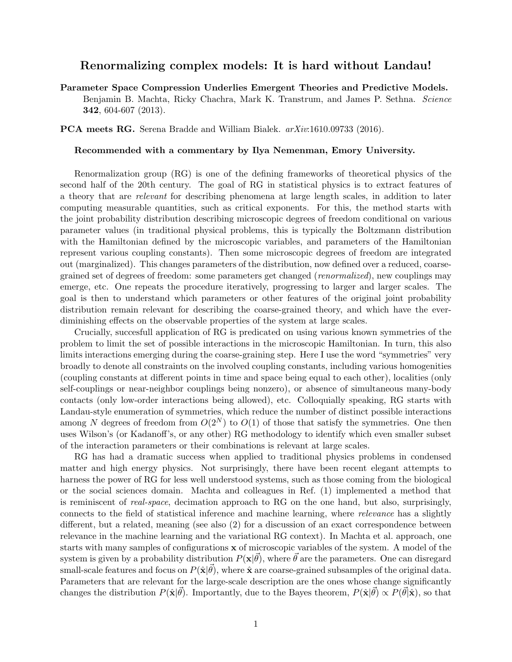## Renormalizing complex models: It is hard without Landau!

Parameter Space Compression Underlies Emergent Theories and Predictive Models. Benjamin B. Machta, Ricky Chachra, Mark K. Transtrum, and James P. Sethna. Science 342, 604-607 (2013).

PCA meets RG. Serena Bradde and William Bialek. arXiv:1610.09733 (2016).

## Recommended with a commentary by Ilya Nemenman, Emory University.

Renormalization group (RG) is one of the defining frameworks of theoretical physics of the second half of the 20th century. The goal of RG in statistical physics is to extract features of a theory that are relevant for describing phenomena at large length scales, in addition to later computing measurable quantities, such as critical exponents. For this, the method starts with the joint probability distribution describing microscopic degrees of freedom conditional on various parameter values (in traditional physical problems, this is typically the Boltzmann distribution with the Hamiltonian defined by the microscopic variables, and parameters of the Hamiltonian represent various coupling constants). Then some microscopic degrees of freedom are integrated out (marginalized). This changes parameters of the distribution, now defined over a reduced, coarsegrained set of degrees of freedom: some parameters get changed (renormalized), new couplings may emerge, etc. One repeats the procedure iteratively, progressing to larger and larger scales. The goal is then to understand which parameters or other features of the original joint probability distribution remain relevant for describing the coarse-grained theory, and which have the everdiminishing effects on the observable properties of the system at large scales.

Crucially, succesfull application of RG is predicated on using various known symmetries of the problem to limit the set of possible interactions in the microscopic Hamiltonian. In turn, this also limits interactions emerging during the coarse-graining step. Here I use the word "symmetries" very broadly to denote all constraints on the involved coupling constants, including various homogenities (coupling constants at different points in time and space being equal to each other), localities (only self-couplings or near-neighbor couplings being nonzero), or absence of simultaneous many-body contacts (only low-order interactions being allowed), etc. Colloquially speaking, RG starts with Landau-style enumeration of symmetries, which reduce the number of distinct possible interactions among N degrees of freedom from  $O(2^N)$  to  $O(1)$  of those that satisfy the symmetries. One then uses Wilson's (or Kadanoff's, or any other) RG methodology to identify which even smaller subset of the interaction parameters or their combinations is relevant at large scales.

RG has had a dramatic success when applied to traditional physics problems in condensed matter and high energy physics. Not surprisingly, there have been recent elegant attempts to harness the power of RG for less well understood systems, such as those coming from the biological or the social sciences domain. Machta and colleagues in Ref. (1) implemented a method that is reminiscent of real-space, decimation approach to RG on the one hand, but also, surprisingly, connects to the field of statistical inference and machine learning, where relevance has a slightly different, but a related, meaning (see also (2) for a discussion of an exact correspondence between relevance in the machine learning and the variational RG context). In Machta et al. approach, one starts with many samples of configurations x of microscopic variables of the system. A model of the system is given by a probability distribution  $P(x|\vec{\theta})$ , where  $\vec{\theta}$  are the parameters. One can disregard small-scale features and focus on  $P(\hat{\mathbf{x}}|\vec{\theta})$ , where  $\hat{\mathbf{x}}$  are coarse-grained subsamples of the original data. Parameters that are relevant for the large-scale description are the ones whose change significantly changes the distribution  $P(\hat{\mathbf{x}}|\vec{\theta})$ . Importantly, due to the Bayes theorem,  $P(\hat{\mathbf{x}}|\vec{\theta}) \propto P(\vec{\theta}|\hat{\mathbf{x}})$ , so that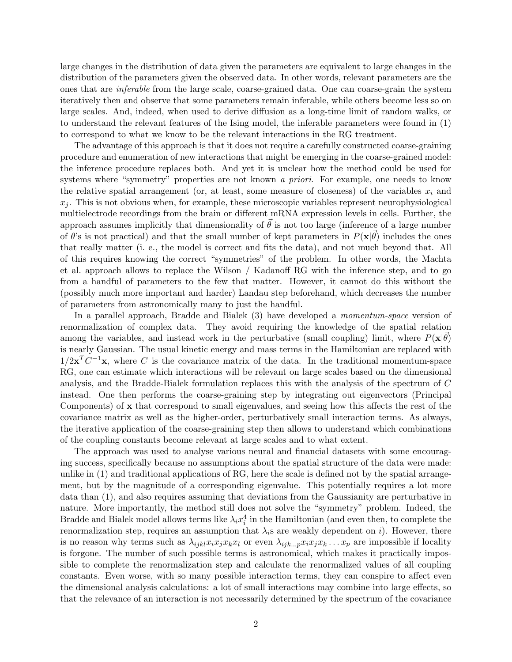large changes in the distribution of data given the parameters are equivalent to large changes in the distribution of the parameters given the observed data. In other words, relevant parameters are the ones that are inferable from the large scale, coarse-grained data. One can coarse-grain the system iteratively then and observe that some parameters remain inferable, while others become less so on large scales. And, indeed, when used to derive diffusion as a long-time limit of random walks, or to understand the relevant features of the Ising model, the inferable parameters were found in (1) to correspond to what we know to be the relevant interactions in the RG treatment.

The advantage of this approach is that it does not require a carefully constructed coarse-graining procedure and enumeration of new interactions that might be emerging in the coarse-grained model: the inference procedure replaces both. And yet it is unclear how the method could be used for systems where "symmetry" properties are not known a priori. For example, one needs to know the relative spatial arrangement (or, at least, some measure of closeness) of the variables  $x_i$  and  $x_j$ . This is not obvious when, for example, these microscopic variables represent neurophysiological multielectrode recordings from the brain or different mRNA expression levels in cells. Further, the approach assumes implicitly that dimensionality of  $\vec{\theta}$  is not too large (inference of a large number of  $\theta$ 's is not practical) and that the small number of kept parameters in  $P(\mathbf{x}|\vec{\theta})$  includes the ones that really matter (i. e., the model is correct and fits the data), and not much beyond that. All of this requires knowing the correct "symmetries" of the problem. In other words, the Machta et al. approach allows to replace the Wilson / Kadanoff RG with the inference step, and to go from a handful of parameters to the few that matter. However, it cannot do this without the (possibly much more important and harder) Landau step beforehand, which decreases the number of parameters from astronomically many to just the handful.

In a parallel approach, Bradde and Bialek (3) have developed a momentum-space version of renormalization of complex data. They avoid requiring the knowledge of the spatial relation among the variables, and instead work in the perturbative (small coupling) limit, where  $P(\mathbf{x}|\vec{\theta})$ is nearly Gaussian. The usual kinetic energy and mass terms in the Hamiltonian are replaced with  $1/2\mathbf{x}^T C^{-1}\mathbf{x}$ , where C is the covariance matrix of the data. In the traditional momentum-space RG, one can estimate which interactions will be relevant on large scales based on the dimensional analysis, and the Bradde-Bialek formulation replaces this with the analysis of the spectrum of C instead. One then performs the coarse-graining step by integrating out eigenvectors (Principal Components) of x that correspond to small eigenvalues, and seeing how this affects the rest of the covariance matrix as well as the higher-order, perturbatively small interaction terms. As always, the iterative application of the coarse-graining step then allows to understand which combinations of the coupling constants become relevant at large scales and to what extent.

The approach was used to analyse various neural and financial datasets with some encouraging success, specifically because no assumptions about the spatial structure of the data were made: unlike in (1) and traditional applications of RG, here the scale is defined not by the spatial arrangement, but by the magnitude of a corresponding eigenvalue. This potentially requires a lot more data than (1), and also requires assuming that deviations from the Gaussianity are perturbative in nature. More importantly, the method still does not solve the "symmetry" problem. Indeed, the Bradde and Bialek model allows terms like  $\lambda_i x_i^4$  in the Hamiltonian (and even then, to complete the renormalization step, requires an assumption that  $\lambda_i$ s are weakly dependent on i). However, there is no reason why terms such as  $\lambda_{ijkl} x_i x_j x_k x_l$  or even  $\lambda_{ijk\ldots p} x_i x_j x_k \ldots x_p$  are impossible if locality is forgone. The number of such possible terms is astronomical, which makes it practically impossible to complete the renormalization step and calculate the renormalized values of all coupling constants. Even worse, with so many possible interaction terms, they can conspire to affect even the dimensional analysis calculations: a lot of small interactions may combine into large effects, so that the relevance of an interaction is not necessarily determined by the spectrum of the covariance